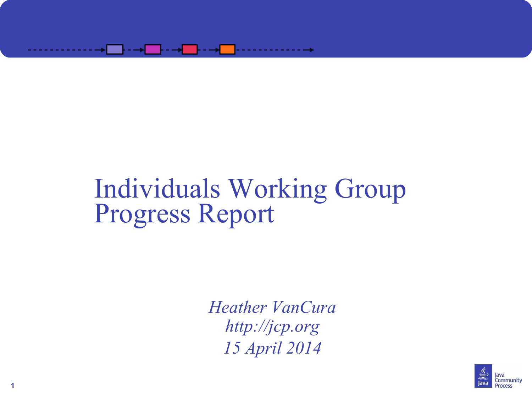

#### Individuals Working Group Progress Report

*Heather VanCura [http://jcp.org](http://jcp.org/) 15 April 2014*



**1**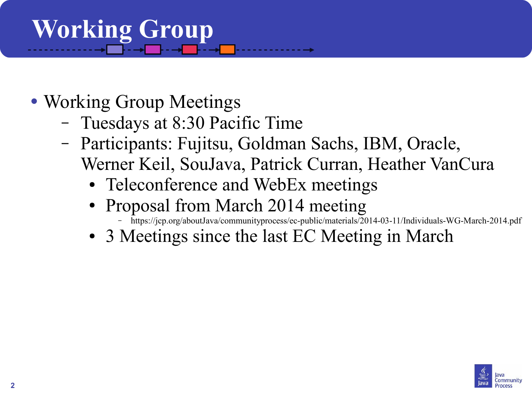# **Working Group**

- Working Group Meetings
	- Tuesdays at 8:30 Pacific Time
	- Participants: Fujitsu, Goldman Sachs, IBM, Oracle, Werner Keil, SouJava, Patrick Curran, Heather VanCura
		- Teleconference and WebEx meetings
		- Proposal from March 2014 meeting
			- <https://jcp.org/aboutJava/communityprocess/ec-public/materials/2014-03-11/Individuals-WG-March-2014.pdf>
		- 3 Meetings since the last EC Meeting in March

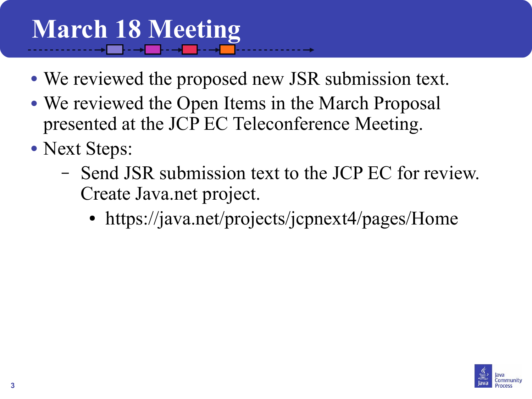### **March 18 Meeting**

- We reviewed the proposed new JSR submission text.
- We reviewed the Open Items in the March Proposal presented at the JCP EC Teleconference Meeting.
- Next Steps:
	- Send JSR submission text to the JCP EC for review. Create Java.net project.
		- https://java.net/projects/jcpnext4/pages/Home

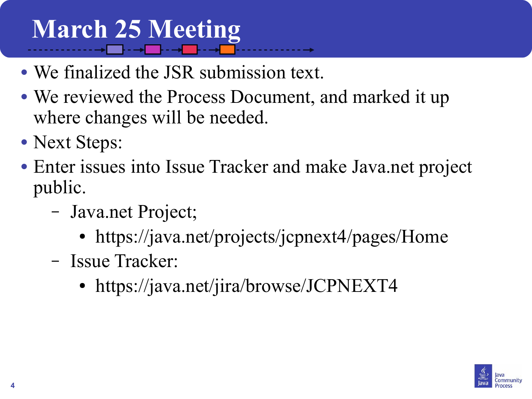## **March 25 Meeting**

- We finalized the JSR submission text.
- We reviewed the Process Document, and marked it up where changes will be needed.
- Next Steps:
- Enter issues into Issue Tracker and make Java.net project public.
	- Java.net Project;
		- <https://java.net/projects/jcpnext4/pages/Home>
	- Issue Tracker:
		- https://java.net/jira/browse/JCPNEXT4

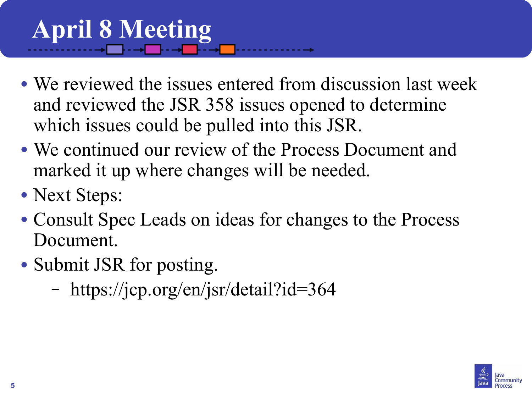## **April 8 Meeting**

- We reviewed the issues entered from discussion last week and reviewed the JSR 358 issues opened to determine which issues could be pulled into this JSR.
- We continued our review of the Process Document and marked it up where changes will be needed.
- Next Steps:
- Consult Spec Leads on ideas for changes to the Process Document.
- Submit JSR for posting.
	- <https://jcp.org/en/jsr/detail?id=364>